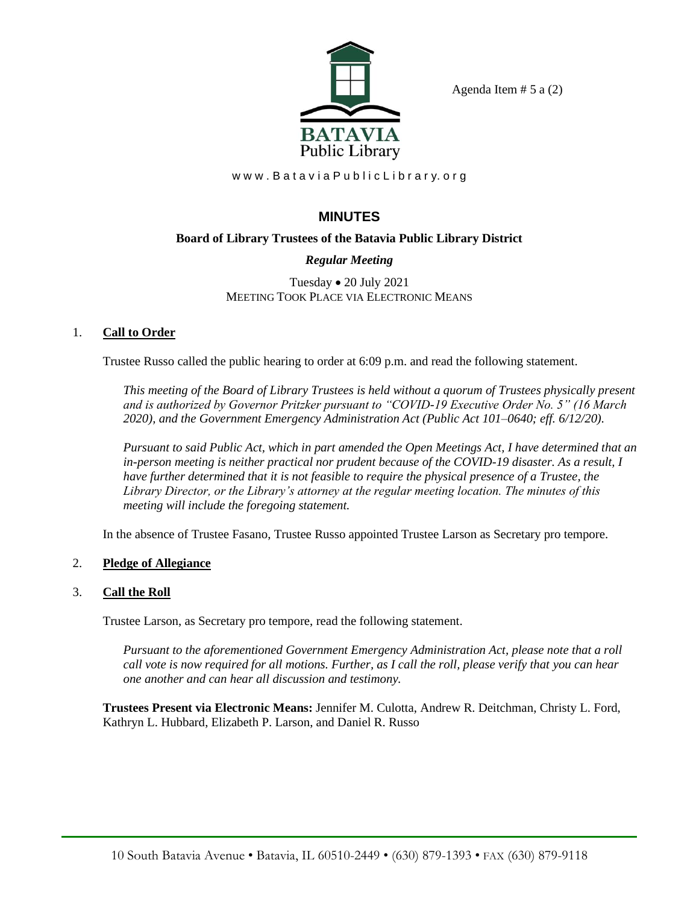

Agenda Item  $# 5$  a  $(2)$ 

www.Batavia Public Library.org

# **MINUTES**

# **Board of Library Trustees of the Batavia Public Library District**

# *Regular Meeting*

Tuesday • 20 July 2021 MEETING TOOK PLACE VIA ELECTRONIC MEANS

# 1. **Call to Order**

Trustee Russo called the public hearing to order at 6:09 p.m. and read the following statement.

*This meeting of the Board of Library Trustees is held without a quorum of Trustees physically present and is authorized by Governor Pritzker pursuant to "COVID-19 Executive Order No. 5" (16 March 2020), and the Government Emergency Administration Act (Public Act 101–0640; eff. 6/12/20).*

*Pursuant to said Public Act, which in part amended the Open Meetings Act, I have determined that an in-person meeting is neither practical nor prudent because of the COVID-19 disaster. As a result, I have further determined that it is not feasible to require the physical presence of a Trustee, the Library Director, or the Library's attorney at the regular meeting location. The minutes of this meeting will include the foregoing statement.*

In the absence of Trustee Fasano, Trustee Russo appointed Trustee Larson as Secretary pro tempore.

## 2. **Pledge of Allegiance**

## 3. **Call the Roll**

Trustee Larson, as Secretary pro tempore, read the following statement.

*Pursuant to the aforementioned Government Emergency Administration Act, please note that a roll call vote is now required for all motions. Further, as I call the roll, please verify that you can hear one another and can hear all discussion and testimony.*

**Trustees Present via Electronic Means:** Jennifer M. Culotta, Andrew R. Deitchman, Christy L. Ford, Kathryn L. Hubbard, Elizabeth P. Larson, and Daniel R. Russo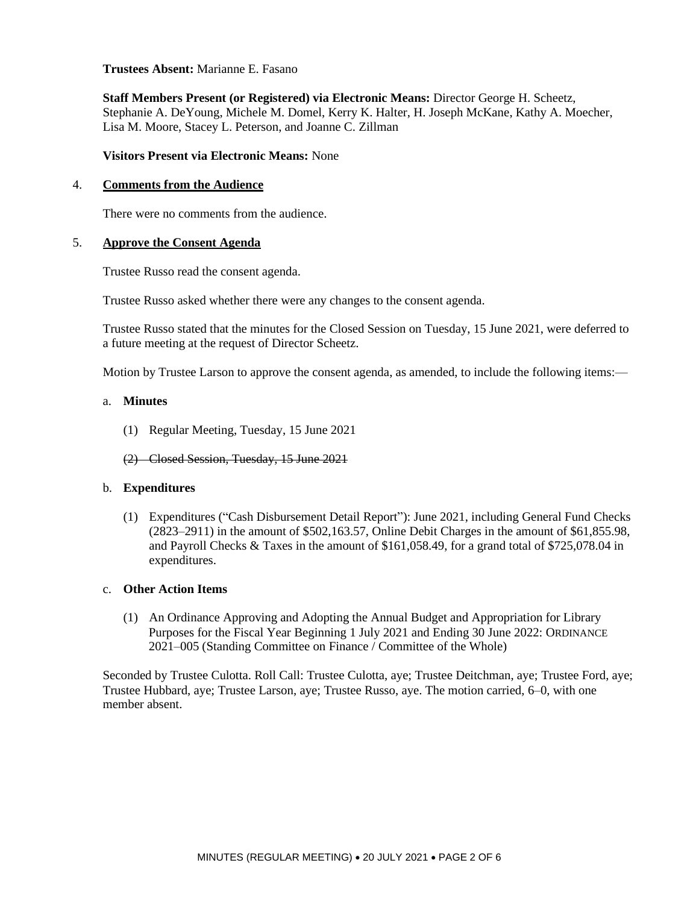**Trustees Absent:** Marianne E. Fasano

**Staff Members Present (or Registered) via Electronic Means:** Director George H. Scheetz, Stephanie A. DeYoung, Michele M. Domel, Kerry K. Halter, H. Joseph McKane, Kathy A. Moecher, Lisa M. Moore, Stacey L. Peterson, and Joanne C. Zillman

**Visitors Present via Electronic Means:** None

#### 4. **Comments from the Audience**

There were no comments from the audience.

#### 5. **Approve the Consent Agenda**

Trustee Russo read the consent agenda.

Trustee Russo asked whether there were any changes to the consent agenda.

Trustee Russo stated that the minutes for the Closed Session on Tuesday, 15 June 2021, were deferred to a future meeting at the request of Director Scheetz.

Motion by Trustee Larson to approve the consent agenda, as amended, to include the following items:—

### a. **Minutes**

(1) Regular Meeting, Tuesday, 15 June 2021

(2) Closed Session, Tuesday, 15 June 2021

#### b. **Expenditures**

(1) Expenditures ("Cash Disbursement Detail Report"): June 2021, including General Fund Checks (2823–2911) in the amount of \$502,163.57, Online Debit Charges in the amount of \$61,855.98, and Payroll Checks & Taxes in the amount of \$161,058.49, for a grand total of \$725,078.04 in expenditures.

#### c. **Other Action Items**

(1) An Ordinance Approving and Adopting the Annual Budget and Appropriation for Library Purposes for the Fiscal Year Beginning 1 July 2021 and Ending 30 June 2022: ORDINANCE 2021–005 (Standing Committee on Finance / Committee of the Whole)

Seconded by Trustee Culotta. Roll Call: Trustee Culotta, aye; Trustee Deitchman, aye; Trustee Ford, aye; Trustee Hubbard, aye; Trustee Larson, aye; Trustee Russo, aye. The motion carried, 6–0, with one member absent.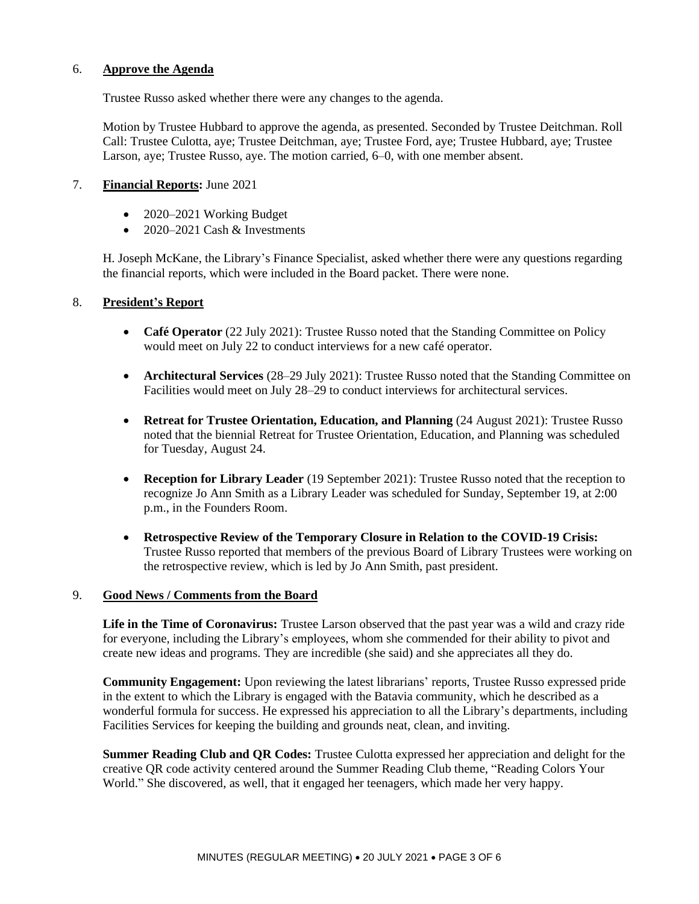### 6. **Approve the Agenda**

Trustee Russo asked whether there were any changes to the agenda.

Motion by Trustee Hubbard to approve the agenda, as presented. Seconded by Trustee Deitchman. Roll Call: Trustee Culotta, aye; Trustee Deitchman, aye; Trustee Ford, aye; Trustee Hubbard, aye; Trustee Larson, aye; Trustee Russo, aye. The motion carried, 6–0, with one member absent.

## 7. **Financial Reports:** June 2021

- 2020–2021 Working Budget
- 2020–2021 Cash  $&$  Investments

H. Joseph McKane, the Library's Finance Specialist, asked whether there were any questions regarding the financial reports, which were included in the Board packet. There were none.

#### 8. **President's Report**

- **Café Operator** (22 July 2021): Trustee Russo noted that the Standing Committee on Policy would meet on July 22 to conduct interviews for a new café operator.
- **Architectural Services** (28–29 July 2021): Trustee Russo noted that the Standing Committee on Facilities would meet on July 28–29 to conduct interviews for architectural services.
- **Retreat for Trustee Orientation, Education, and Planning** (24 August 2021): Trustee Russo noted that the biennial Retreat for Trustee Orientation, Education, and Planning was scheduled for Tuesday, August 24.
- **Reception for Library Leader** (19 September 2021): Trustee Russo noted that the reception to recognize Jo Ann Smith as a Library Leader was scheduled for Sunday, September 19, at 2:00 p.m., in the Founders Room.
- **Retrospective Review of the Temporary Closure in Relation to the COVID-19 Crisis:** Trustee Russo reported that members of the previous Board of Library Trustees were working on the retrospective review, which is led by Jo Ann Smith, past president.

#### 9. **Good News / Comments from the Board**

**Life in the Time of Coronavirus:** Trustee Larson observed that the past year was a wild and crazy ride for everyone, including the Library's employees, whom she commended for their ability to pivot and create new ideas and programs. They are incredible (she said) and she appreciates all they do.

**Community Engagement:** Upon reviewing the latest librarians' reports, Trustee Russo expressed pride in the extent to which the Library is engaged with the Batavia community, which he described as a wonderful formula for success. He expressed his appreciation to all the Library's departments, including Facilities Services for keeping the building and grounds neat, clean, and inviting.

**Summer Reading Club and QR Codes:** Trustee Culotta expressed her appreciation and delight for the creative QR code activity centered around the Summer Reading Club theme, "Reading Colors Your World." She discovered, as well, that it engaged her teenagers, which made her very happy.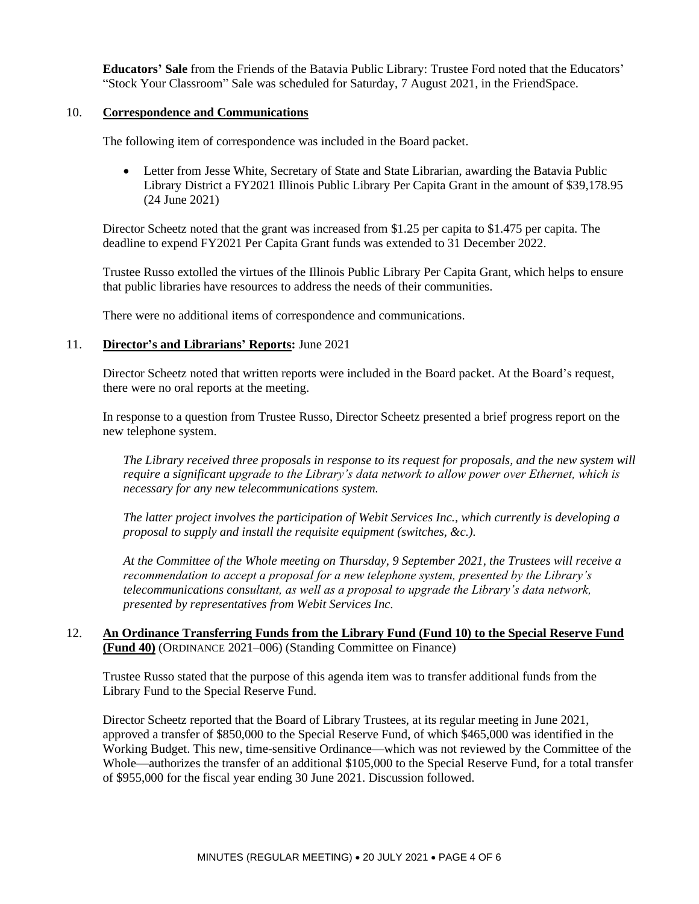**Educators' Sale** from the Friends of the Batavia Public Library: Trustee Ford noted that the Educators' "Stock Your Classroom" Sale was scheduled for Saturday, 7 August 2021, in the FriendSpace.

#### 10. **Correspondence and Communications**

The following item of correspondence was included in the Board packet.

• Letter from Jesse White, Secretary of State and State Librarian, awarding the Batavia Public Library District a FY2021 Illinois Public Library Per Capita Grant in the amount of \$39,178.95 (24 June 2021)

Director Scheetz noted that the grant was increased from \$1.25 per capita to \$1.475 per capita. The deadline to expend FY2021 Per Capita Grant funds was extended to 31 December 2022.

Trustee Russo extolled the virtues of the Illinois Public Library Per Capita Grant, which helps to ensure that public libraries have resources to address the needs of their communities.

There were no additional items of correspondence and communications.

#### 11. **Director's and Librarians' Reports:** June 2021

Director Scheetz noted that written reports were included in the Board packet. At the Board's request, there were no oral reports at the meeting.

In response to a question from Trustee Russo, Director Scheetz presented a brief progress report on the new telephone system.

*The Library received three proposals in response to its request for proposals, and the new system will require a significant upgrade to the Library's data network to allow power over Ethernet, which is necessary for any new telecommunications system.*

*The latter project involves the participation of Webit Services Inc., which currently is developing a proposal to supply and install the requisite equipment (switches, &c.).*

*At the Committee of the Whole meeting on Thursday, 9 September 2021, the Trustees will receive a recommendation to accept a proposal for a new telephone system, presented by the Library's telecommunications consultant, as well as a proposal to upgrade the Library's data network, presented by representatives from Webit Services Inc.*

#### 12. **An Ordinance Transferring Funds from the Library Fund (Fund 10) to the Special Reserve Fund (Fund 40)** (ORDINANCE 2021–006) (Standing Committee on Finance)

Trustee Russo stated that the purpose of this agenda item was to transfer additional funds from the Library Fund to the Special Reserve Fund.

Director Scheetz reported that the Board of Library Trustees, at its regular meeting in June 2021, approved a transfer of \$850,000 to the Special Reserve Fund, of which \$465,000 was identified in the Working Budget. This new, time-sensitive Ordinance—which was not reviewed by the Committee of the Whole—authorizes the transfer of an additional \$105,000 to the Special Reserve Fund, for a total transfer of \$955,000 for the fiscal year ending 30 June 2021. Discussion followed.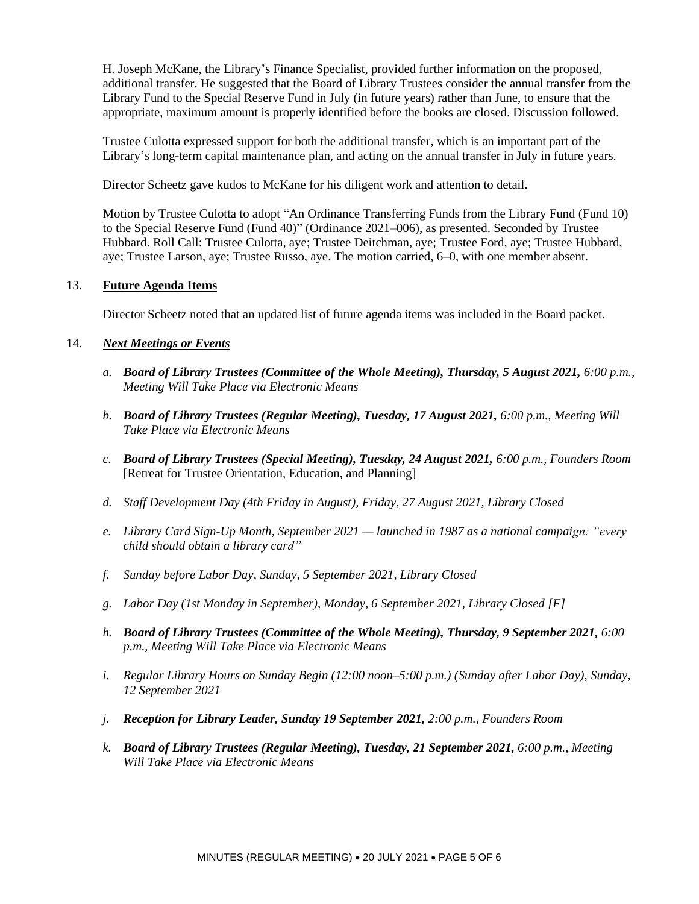H. Joseph McKane, the Library's Finance Specialist, provided further information on the proposed, additional transfer. He suggested that the Board of Library Trustees consider the annual transfer from the Library Fund to the Special Reserve Fund in July (in future years) rather than June, to ensure that the appropriate, maximum amount is properly identified before the books are closed. Discussion followed.

Trustee Culotta expressed support for both the additional transfer, which is an important part of the Library's long-term capital maintenance plan, and acting on the annual transfer in July in future years.

Director Scheetz gave kudos to McKane for his diligent work and attention to detail.

Motion by Trustee Culotta to adopt "An Ordinance Transferring Funds from the Library Fund (Fund 10) to the Special Reserve Fund (Fund 40)" (Ordinance 2021–006), as presented. Seconded by Trustee Hubbard. Roll Call: Trustee Culotta, aye; Trustee Deitchman, aye; Trustee Ford, aye; Trustee Hubbard, aye; Trustee Larson, aye; Trustee Russo, aye. The motion carried, 6–0, with one member absent.

## 13. **Future Agenda Items**

Director Scheetz noted that an updated list of future agenda items was included in the Board packet.

## 14. *Next Meetings or Events*

- *a. Board of Library Trustees (Committee of the Whole Meeting), Thursday, 5 August 2021, 6:00 p.m., Meeting Will Take Place via Electronic Means*
- *b. Board of Library Trustees (Regular Meeting), Tuesday, 17 August 2021, 6:00 p.m., Meeting Will Take Place via Electronic Means*
- *c. Board of Library Trustees (Special Meeting), Tuesday, 24 August 2021, 6:00 p.m., Founders Room* [Retreat for Trustee Orientation, Education, and Planning]
- *d. Staff Development Day (4th Friday in August), Friday, 27 August 2021, Library Closed*
- *e. Library Card Sign-Up Month, September 2021 — launched in 1987 as a national campaign: "every child should obtain a library card"*
- *f. Sunday before Labor Day, Sunday, 5 September 2021, Library Closed*
- *g. Labor Day (1st Monday in September), Monday, 6 September 2021, Library Closed [F]*
- *h. Board of Library Trustees (Committee of the Whole Meeting), Thursday, 9 September 2021, 6:00 p.m., Meeting Will Take Place via Electronic Means*
- *i. Regular Library Hours on Sunday Begin (12:00 noon–5:00 p.m.) (Sunday after Labor Day), Sunday, 12 September 2021*
- *j. Reception for Library Leader, Sunday 19 September 2021, 2:00 p.m., Founders Room*
- *k. Board of Library Trustees (Regular Meeting), Tuesday, 21 September 2021, 6:00 p.m., Meeting Will Take Place via Electronic Means*